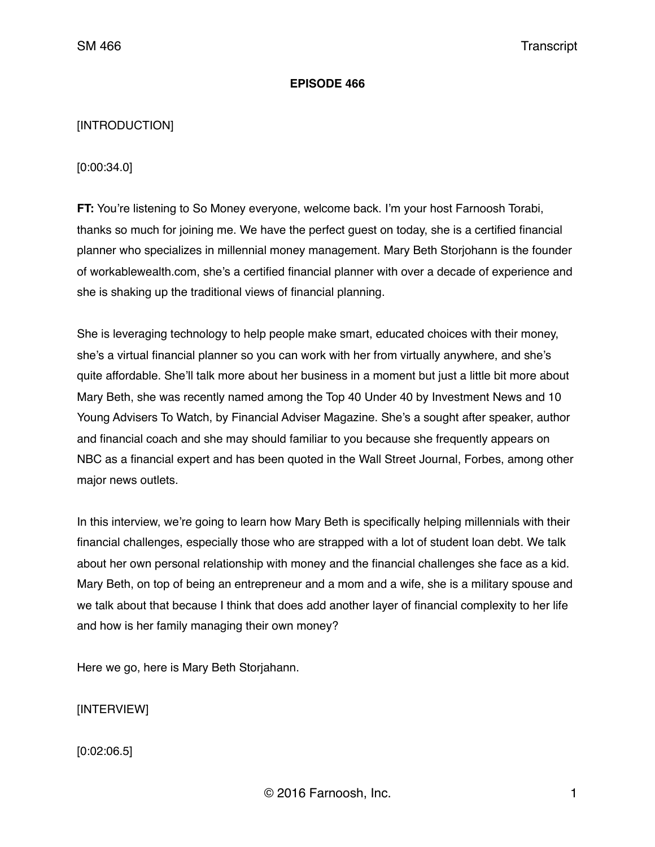## **EPISODE 466**

# [INTRODUCTION]

[0:00:34.0]

**FT:** You're listening to So Money everyone, welcome back. I'm your host Farnoosh Torabi, thanks so much for joining me. We have the perfect guest on today, she is a certified financial planner who specializes in millennial money management. Mary Beth Storjohann is the founder of workablewealth.com, she's a certified financial planner with over a decade of experience and she is shaking up the traditional views of financial planning.

She is leveraging technology to help people make smart, educated choices with their money, she's a virtual financial planner so you can work with her from virtually anywhere, and she's quite affordable. She'll talk more about her business in a moment but just a little bit more about Mary Beth, she was recently named among the Top 40 Under 40 by Investment News and 10 Young Advisers To Watch, by Financial Adviser Magazine. She's a sought after speaker, author and financial coach and she may should familiar to you because she frequently appears on NBC as a financial expert and has been quoted in the Wall Street Journal, Forbes, among other major news outlets.

In this interview, we're going to learn how Mary Beth is specifically helping millennials with their financial challenges, especially those who are strapped with a lot of student loan debt. We talk about her own personal relationship with money and the financial challenges she face as a kid. Mary Beth, on top of being an entrepreneur and a mom and a wife, she is a military spouse and we talk about that because I think that does add another layer of financial complexity to her life and how is her family managing their own money?

Here we go, here is Mary Beth Storjahann.

[INTERVIEW]

[0:02:06.5]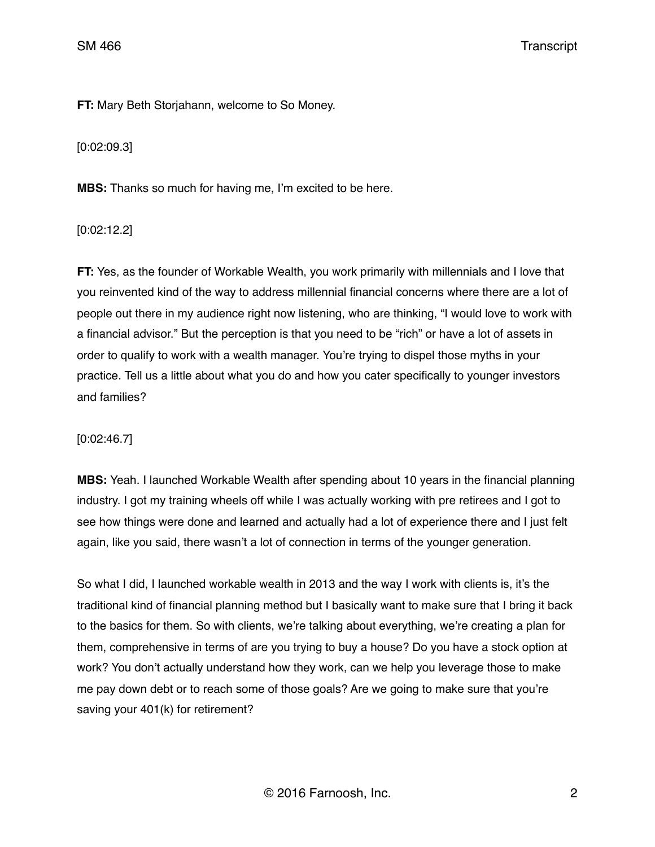**FT:** Mary Beth Storjahann, welcome to So Money.

[0:02:09.3]

**MBS:** Thanks so much for having me, I'm excited to be here.

[0:02:12.2]

**FT:** Yes, as the founder of Workable Wealth, you work primarily with millennials and I love that you reinvented kind of the way to address millennial financial concerns where there are a lot of people out there in my audience right now listening, who are thinking, "I would love to work with a financial advisor." But the perception is that you need to be "rich" or have a lot of assets in order to qualify to work with a wealth manager. You're trying to dispel those myths in your practice. Tell us a little about what you do and how you cater specifically to younger investors and families?

# [0:02:46.7]

**MBS:** Yeah. I launched Workable Wealth after spending about 10 years in the financial planning industry. I got my training wheels off while I was actually working with pre retirees and I got to see how things were done and learned and actually had a lot of experience there and I just felt again, like you said, there wasn't a lot of connection in terms of the younger generation.

So what I did, I launched workable wealth in 2013 and the way I work with clients is, it's the traditional kind of financial planning method but I basically want to make sure that I bring it back to the basics for them. So with clients, we're talking about everything, we're creating a plan for them, comprehensive in terms of are you trying to buy a house? Do you have a stock option at work? You don't actually understand how they work, can we help you leverage those to make me pay down debt or to reach some of those goals? Are we going to make sure that you're saving your 401(k) for retirement?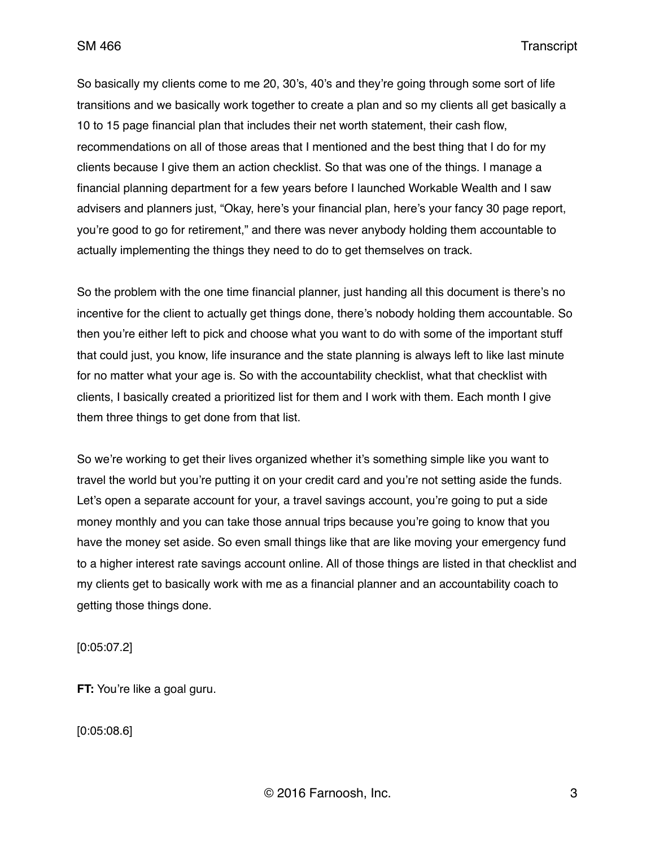So basically my clients come to me 20, 30's, 40's and they're going through some sort of life transitions and we basically work together to create a plan and so my clients all get basically a 10 to 15 page financial plan that includes their net worth statement, their cash flow, recommendations on all of those areas that I mentioned and the best thing that I do for my clients because I give them an action checklist. So that was one of the things. I manage a financial planning department for a few years before I launched Workable Wealth and I saw advisers and planners just, "Okay, here's your financial plan, here's your fancy 30 page report, you're good to go for retirement," and there was never anybody holding them accountable to actually implementing the things they need to do to get themselves on track.

So the problem with the one time financial planner, just handing all this document is there's no incentive for the client to actually get things done, there's nobody holding them accountable. So then you're either left to pick and choose what you want to do with some of the important stuff that could just, you know, life insurance and the state planning is always left to like last minute for no matter what your age is. So with the accountability checklist, what that checklist with clients, I basically created a prioritized list for them and I work with them. Each month I give them three things to get done from that list.

So we're working to get their lives organized whether it's something simple like you want to travel the world but you're putting it on your credit card and you're not setting aside the funds. Let's open a separate account for your, a travel savings account, you're going to put a side money monthly and you can take those annual trips because you're going to know that you have the money set aside. So even small things like that are like moving your emergency fund to a higher interest rate savings account online. All of those things are listed in that checklist and my clients get to basically work with me as a financial planner and an accountability coach to getting those things done.

[0:05:07.2]

**FT:** You're like a goal guru.

[0:05:08.6]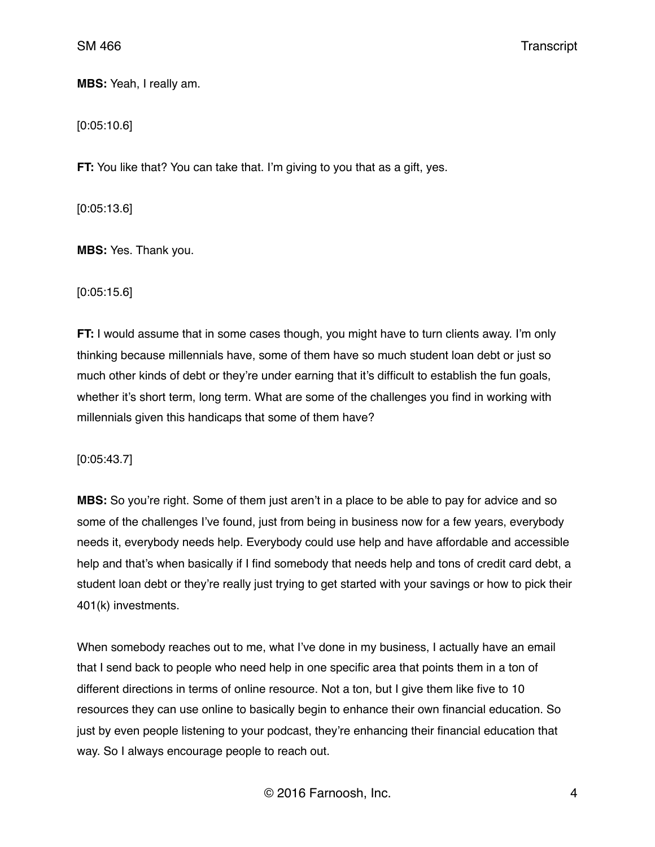**MBS:** Yeah, I really am.

[0:05:10.6]

**FT:** You like that? You can take that. I'm giving to you that as a gift, yes.

[0:05:13.6]

**MBS:** Yes. Thank you.

[0:05:15.6]

**FT:** I would assume that in some cases though, you might have to turn clients away. I'm only thinking because millennials have, some of them have so much student loan debt or just so much other kinds of debt or they're under earning that it's difficult to establish the fun goals, whether it's short term, long term. What are some of the challenges you find in working with millennials given this handicaps that some of them have?

[0:05:43.7]

**MBS:** So you're right. Some of them just aren't in a place to be able to pay for advice and so some of the challenges I've found, just from being in business now for a few years, everybody needs it, everybody needs help. Everybody could use help and have affordable and accessible help and that's when basically if I find somebody that needs help and tons of credit card debt, a student loan debt or they're really just trying to get started with your savings or how to pick their 401(k) investments.

When somebody reaches out to me, what I've done in my business, I actually have an email that I send back to people who need help in one specific area that points them in a ton of different directions in terms of online resource. Not a ton, but I give them like five to 10 resources they can use online to basically begin to enhance their own financial education. So just by even people listening to your podcast, they're enhancing their financial education that way. So I always encourage people to reach out.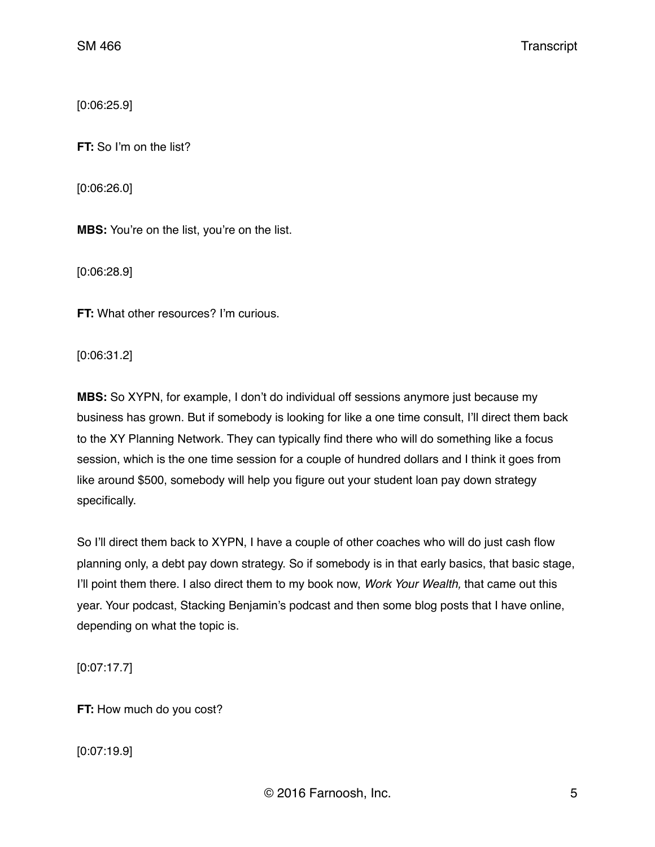[0:06:25.9]

**FT:** So I'm on the list?

[0:06:26.0]

**MBS:** You're on the list, you're on the list.

[0:06:28.9]

**FT:** What other resources? I'm curious.

[0:06:31.2]

**MBS:** So XYPN, for example, I don't do individual off sessions anymore just because my business has grown. But if somebody is looking for like a one time consult, I'll direct them back to the XY Planning Network. They can typically find there who will do something like a focus session, which is the one time session for a couple of hundred dollars and I think it goes from like around \$500, somebody will help you figure out your student loan pay down strategy specifically.

So I'll direct them back to XYPN, I have a couple of other coaches who will do just cash flow planning only, a debt pay down strategy. So if somebody is in that early basics, that basic stage, I'll point them there. I also direct them to my book now, *Work Your Wealth,* that came out this year. Your podcast, Stacking Benjamin's podcast and then some blog posts that I have online, depending on what the topic is.

[0:07:17.7]

**FT:** How much do you cost?

[0:07:19.9]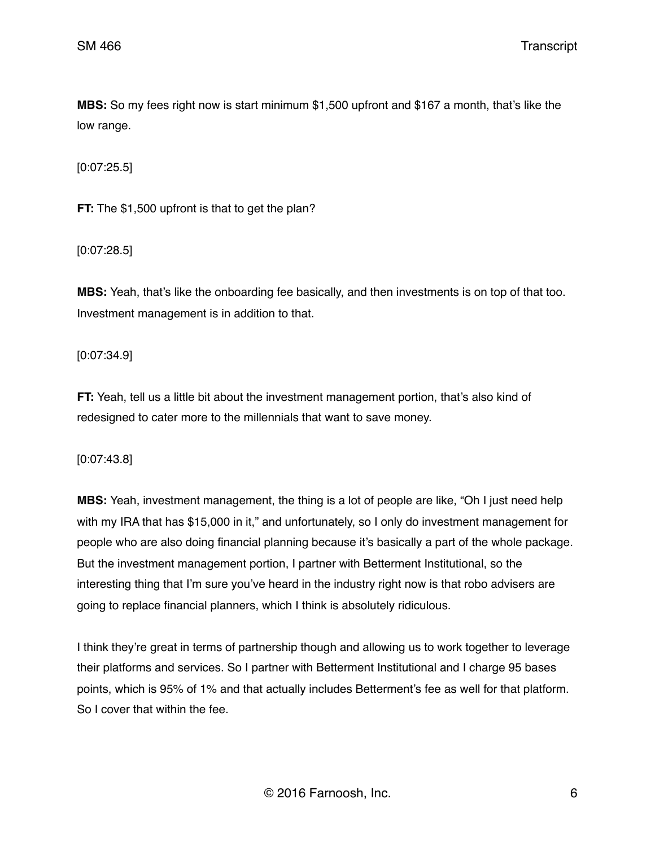**MBS:** So my fees right now is start minimum \$1,500 upfront and \$167 a month, that's like the low range.

[0:07:25.5]

**FT:** The \$1,500 upfront is that to get the plan?

[0:07:28.5]

**MBS:** Yeah, that's like the onboarding fee basically, and then investments is on top of that too. Investment management is in addition to that.

[0:07:34.9]

**FT:** Yeah, tell us a little bit about the investment management portion, that's also kind of redesigned to cater more to the millennials that want to save money.

[0:07:43.8]

**MBS:** Yeah, investment management, the thing is a lot of people are like, "Oh I just need help with my IRA that has \$15,000 in it," and unfortunately, so I only do investment management for people who are also doing financial planning because it's basically a part of the whole package. But the investment management portion, I partner with Betterment Institutional, so the interesting thing that I'm sure you've heard in the industry right now is that robo advisers are going to replace financial planners, which I think is absolutely ridiculous.

I think they're great in terms of partnership though and allowing us to work together to leverage their platforms and services. So I partner with Betterment Institutional and I charge 95 bases points, which is 95% of 1% and that actually includes Betterment's fee as well for that platform. So I cover that within the fee.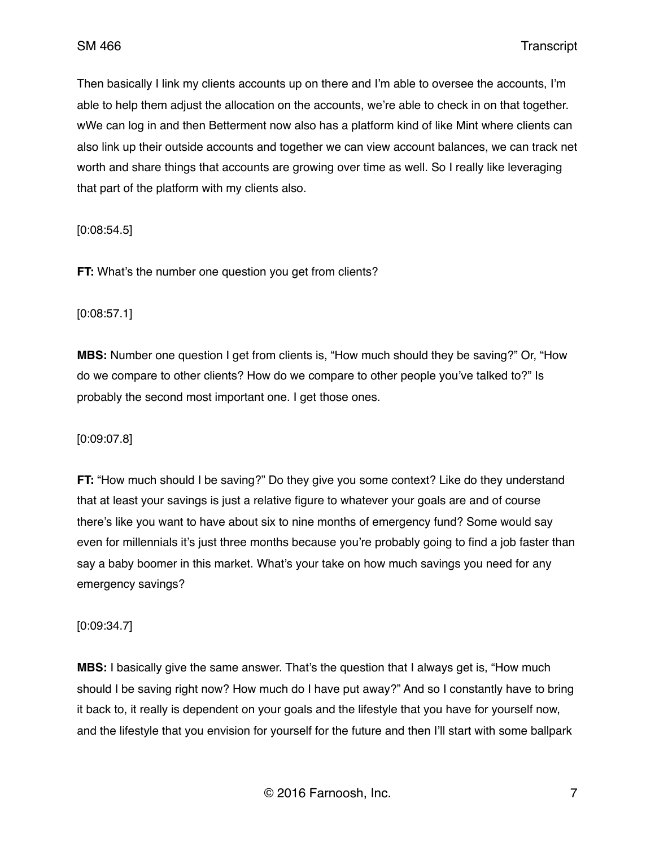Then basically I link my clients accounts up on there and I'm able to oversee the accounts, I'm able to help them adjust the allocation on the accounts, we're able to check in on that together. wWe can log in and then Betterment now also has a platform kind of like Mint where clients can also link up their outside accounts and together we can view account balances, we can track net worth and share things that accounts are growing over time as well. So I really like leveraging that part of the platform with my clients also.

[0:08:54.5]

**FT:** What's the number one question you get from clients?

#### [0:08:57.1]

**MBS:** Number one question I get from clients is, "How much should they be saving?" Or, "How do we compare to other clients? How do we compare to other people you've talked to?" Is probably the second most important one. I get those ones.

## [0:09:07.8]

**FT:** "How much should I be saving?" Do they give you some context? Like do they understand that at least your savings is just a relative figure to whatever your goals are and of course there's like you want to have about six to nine months of emergency fund? Some would say even for millennials it's just three months because you're probably going to find a job faster than say a baby boomer in this market. What's your take on how much savings you need for any emergency savings?

#### [0:09:34.7]

**MBS:** I basically give the same answer. That's the question that I always get is, "How much should I be saving right now? How much do I have put away?" And so I constantly have to bring it back to, it really is dependent on your goals and the lifestyle that you have for yourself now, and the lifestyle that you envision for yourself for the future and then I'll start with some ballpark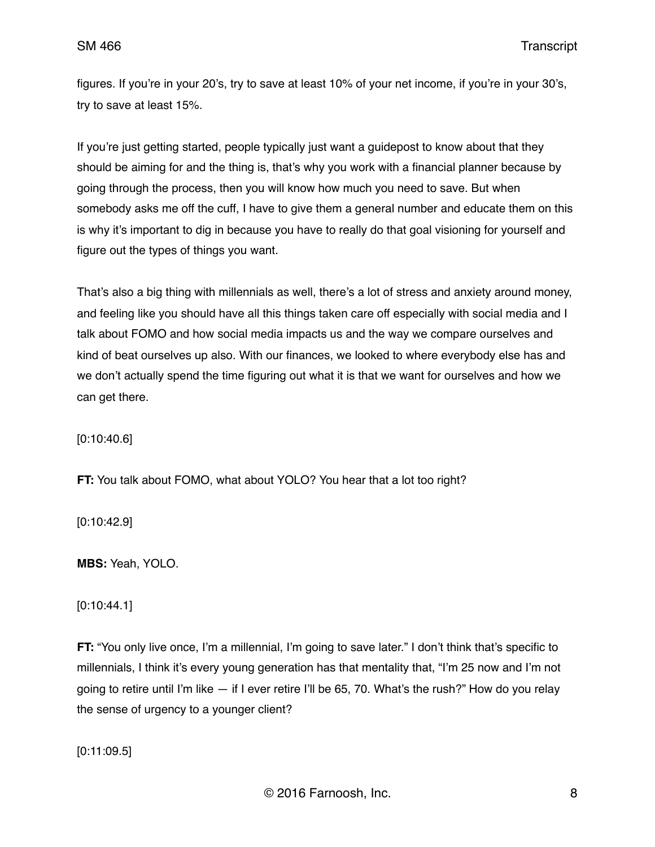figures. If you're in your 20's, try to save at least 10% of your net income, if you're in your 30's, try to save at least 15%.

If you're just getting started, people typically just want a guidepost to know about that they should be aiming for and the thing is, that's why you work with a financial planner because by going through the process, then you will know how much you need to save. But when somebody asks me off the cuff, I have to give them a general number and educate them on this is why it's important to dig in because you have to really do that goal visioning for yourself and figure out the types of things you want.

That's also a big thing with millennials as well, there's a lot of stress and anxiety around money, and feeling like you should have all this things taken care off especially with social media and I talk about FOMO and how social media impacts us and the way we compare ourselves and kind of beat ourselves up also. With our finances, we looked to where everybody else has and we don't actually spend the time figuring out what it is that we want for ourselves and how we can get there.

[0:10:40.6]

**FT:** You talk about FOMO, what about YOLO? You hear that a lot too right?

[0:10:42.9]

**MBS:** Yeah, YOLO.

[0:10:44.1]

**FT:** "You only live once, I'm a millennial, I'm going to save later." I don't think that's specific to millennials, I think it's every young generation has that mentality that, "I'm 25 now and I'm not going to retire until I'm like — if I ever retire I'll be 65, 70. What's the rush?" How do you relay the sense of urgency to a younger client?

[0:11:09.5]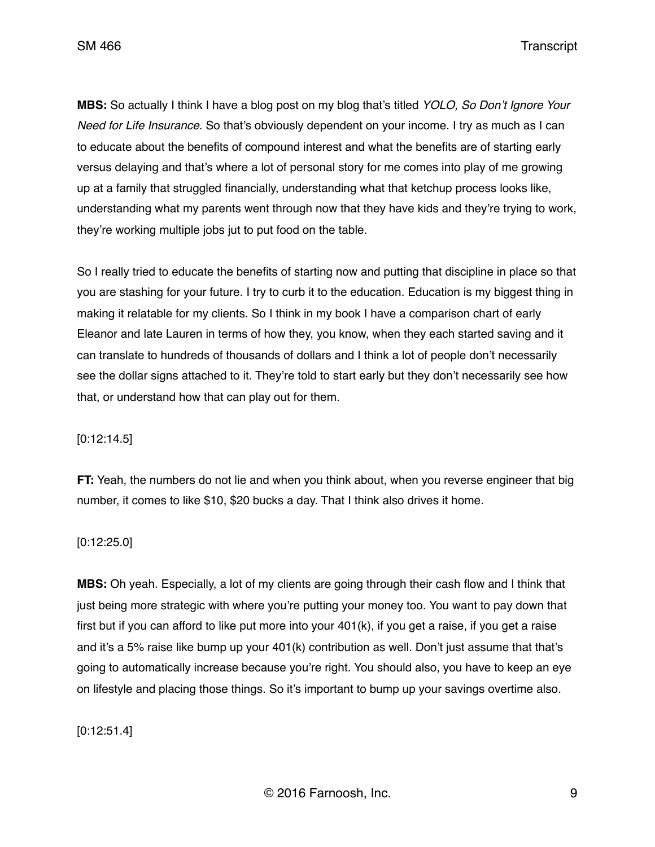**MBS:** So actually I think I have a blog post on my blog that's titled *YOLO, So Don't Ignore Your Need for Life Insurance*. So that's obviously dependent on your income. I try as much as I can to educate about the benefits of compound interest and what the benefits are of starting early versus delaying and that's where a lot of personal story for me comes into play of me growing up at a family that struggled financially, understanding what that ketchup process looks like, understanding what my parents went through now that they have kids and they're trying to work, they're working multiple jobs jut to put food on the table.

So I really tried to educate the benefits of starting now and putting that discipline in place so that you are stashing for your future. I try to curb it to the education. Education is my biggest thing in making it relatable for my clients. So I think in my book I have a comparison chart of early Eleanor and late Lauren in terms of how they, you know, when they each started saving and it can translate to hundreds of thousands of dollars and I think a lot of people don't necessarily see the dollar signs attached to it. They're told to start early but they don't necessarily see how that, or understand how that can play out for them.

## [0:12:14.5]

**FT:** Yeah, the numbers do not lie and when you think about, when you reverse engineer that big number, it comes to like \$10, \$20 bucks a day. That I think also drives it home.

#### [0:12:25.0]

**MBS:** Oh yeah. Especially, a lot of my clients are going through their cash flow and I think that just being more strategic with where you're putting your money too. You want to pay down that first but if you can afford to like put more into your 401(k), if you get a raise, if you get a raise and it's a 5% raise like bump up your 401(k) contribution as well. Don't just assume that that's going to automatically increase because you're right. You should also, you have to keep an eye on lifestyle and placing those things. So it's important to bump up your savings overtime also.

## [0:12:51.4]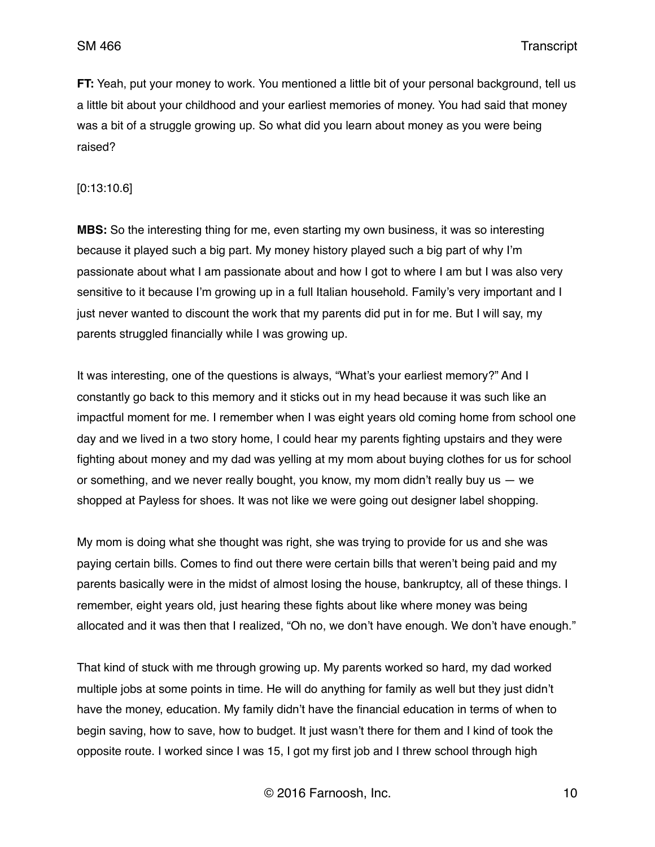**FT:** Yeah, put your money to work. You mentioned a little bit of your personal background, tell us a little bit about your childhood and your earliest memories of money. You had said that money was a bit of a struggle growing up. So what did you learn about money as you were being raised?

[0:13:10.6]

**MBS:** So the interesting thing for me, even starting my own business, it was so interesting because it played such a big part. My money history played such a big part of why I'm passionate about what I am passionate about and how I got to where I am but I was also very sensitive to it because I'm growing up in a full Italian household. Family's very important and I just never wanted to discount the work that my parents did put in for me. But I will say, my parents struggled financially while I was growing up.

It was interesting, one of the questions is always, "What's your earliest memory?" And I constantly go back to this memory and it sticks out in my head because it was such like an impactful moment for me. I remember when I was eight years old coming home from school one day and we lived in a two story home, I could hear my parents fighting upstairs and they were fighting about money and my dad was yelling at my mom about buying clothes for us for school or something, and we never really bought, you know, my mom didn't really buy us — we shopped at Payless for shoes. It was not like we were going out designer label shopping.

My mom is doing what she thought was right, she was trying to provide for us and she was paying certain bills. Comes to find out there were certain bills that weren't being paid and my parents basically were in the midst of almost losing the house, bankruptcy, all of these things. I remember, eight years old, just hearing these fights about like where money was being allocated and it was then that I realized, "Oh no, we don't have enough. We don't have enough."

That kind of stuck with me through growing up. My parents worked so hard, my dad worked multiple jobs at some points in time. He will do anything for family as well but they just didn't have the money, education. My family didn't have the financial education in terms of when to begin saving, how to save, how to budget. It just wasn't there for them and I kind of took the opposite route. I worked since I was 15, I got my first job and I threw school through high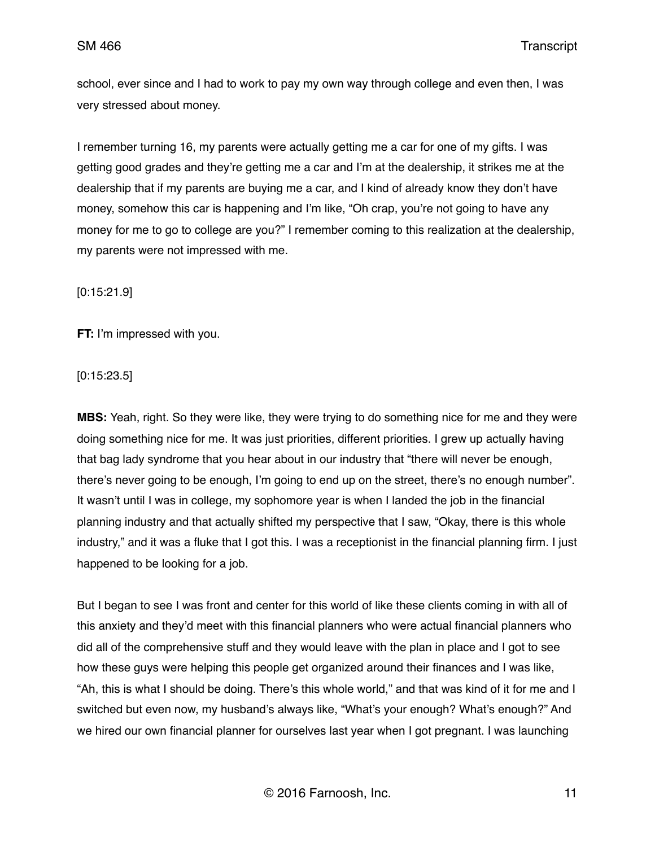school, ever since and I had to work to pay my own way through college and even then, I was very stressed about money.

I remember turning 16, my parents were actually getting me a car for one of my gifts. I was getting good grades and they're getting me a car and I'm at the dealership, it strikes me at the dealership that if my parents are buying me a car, and I kind of already know they don't have money, somehow this car is happening and I'm like, "Oh crap, you're not going to have any money for me to go to college are you?" I remember coming to this realization at the dealership, my parents were not impressed with me.

[0:15:21.9]

**FT:** I'm impressed with you.

[0:15:23.5]

**MBS:** Yeah, right. So they were like, they were trying to do something nice for me and they were doing something nice for me. It was just priorities, different priorities. I grew up actually having that bag lady syndrome that you hear about in our industry that "there will never be enough, there's never going to be enough, I'm going to end up on the street, there's no enough number". It wasn't until I was in college, my sophomore year is when I landed the job in the financial planning industry and that actually shifted my perspective that I saw, "Okay, there is this whole industry," and it was a fluke that I got this. I was a receptionist in the financial planning firm. I just happened to be looking for a job.

But I began to see I was front and center for this world of like these clients coming in with all of this anxiety and they'd meet with this financial planners who were actual financial planners who did all of the comprehensive stuff and they would leave with the plan in place and I got to see how these guys were helping this people get organized around their finances and I was like, "Ah, this is what I should be doing. There's this whole world," and that was kind of it for me and I switched but even now, my husband's always like, "What's your enough? What's enough?" And we hired our own financial planner for ourselves last year when I got pregnant. I was launching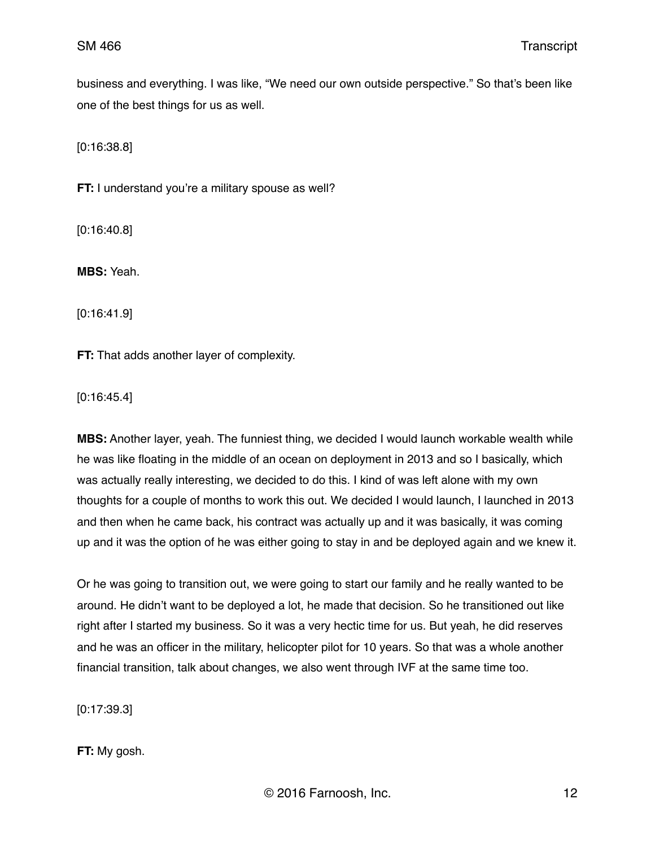business and everything. I was like, "We need our own outside perspective." So that's been like one of the best things for us as well.

[0:16:38.8]

**FT:** I understand you're a military spouse as well?

[0:16:40.8]

**MBS:** Yeah.

[0:16:41.9]

**FT:** That adds another layer of complexity.

[0:16:45.4]

**MBS:** Another layer, yeah. The funniest thing, we decided I would launch workable wealth while he was like floating in the middle of an ocean on deployment in 2013 and so I basically, which was actually really interesting, we decided to do this. I kind of was left alone with my own thoughts for a couple of months to work this out. We decided I would launch, I launched in 2013 and then when he came back, his contract was actually up and it was basically, it was coming up and it was the option of he was either going to stay in and be deployed again and we knew it.

Or he was going to transition out, we were going to start our family and he really wanted to be around. He didn't want to be deployed a lot, he made that decision. So he transitioned out like right after I started my business. So it was a very hectic time for us. But yeah, he did reserves and he was an officer in the military, helicopter pilot for 10 years. So that was a whole another financial transition, talk about changes, we also went through IVF at the same time too.

[0:17:39.3]

**FT:** My gosh.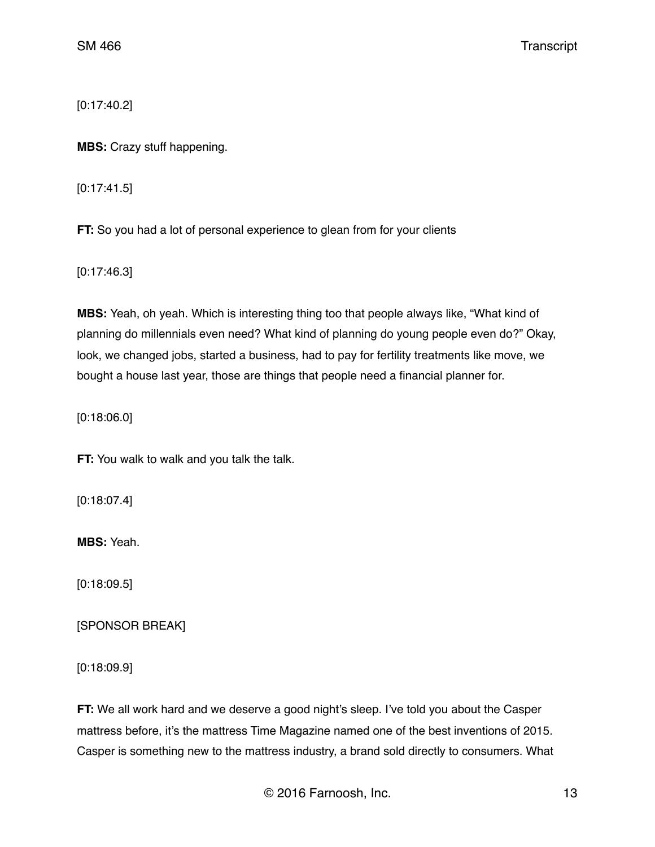[0:17:40.2]

**MBS:** Crazy stuff happening.

[0:17:41.5]

**FT:** So you had a lot of personal experience to glean from for your clients

[0:17:46.3]

**MBS:** Yeah, oh yeah. Which is interesting thing too that people always like, "What kind of planning do millennials even need? What kind of planning do young people even do?" Okay, look, we changed jobs, started a business, had to pay for fertility treatments like move, we bought a house last year, those are things that people need a financial planner for.

[0:18:06.0]

**FT:** You walk to walk and you talk the talk.

[0:18:07.4]

**MBS:** Yeah.

[0:18:09.5]

[SPONSOR BREAK]

[0:18:09.9]

**FT:** We all work hard and we deserve a good night's sleep. I've told you about the Casper mattress before, it's the mattress Time Magazine named one of the best inventions of 2015. Casper is something new to the mattress industry, a brand sold directly to consumers. What

© 2016 Farnoosh, Inc. 13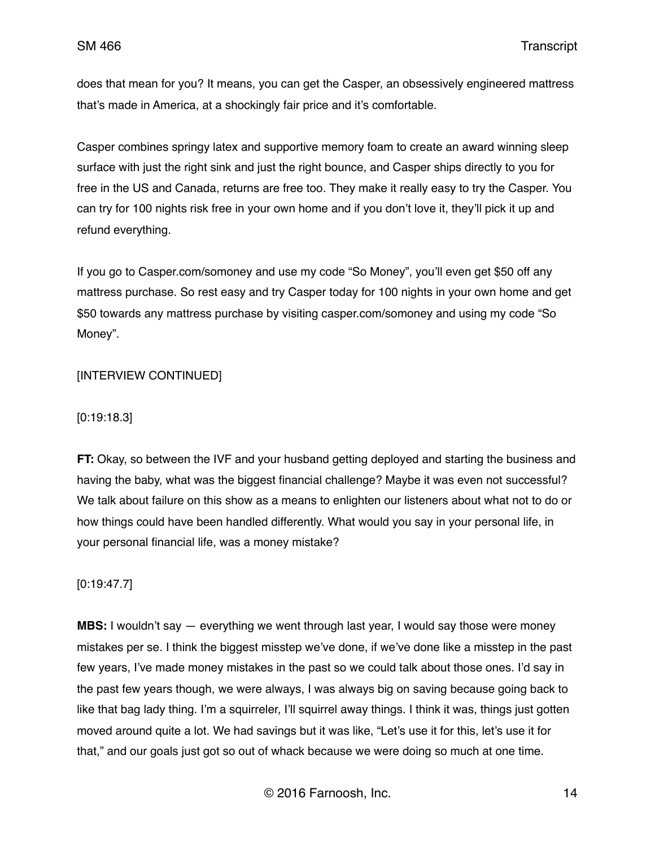does that mean for you? It means, you can get the Casper, an obsessively engineered mattress that's made in America, at a shockingly fair price and it's comfortable.

Casper combines springy latex and supportive memory foam to create an award winning sleep surface with just the right sink and just the right bounce, and Casper ships directly to you for free in the US and Canada, returns are free too. They make it really easy to try the Casper. You can try for 100 nights risk free in your own home and if you don't love it, they'll pick it up and refund everything.

If you go to Casper.com/somoney and use my code "So Money", you'll even get \$50 off any mattress purchase. So rest easy and try Casper today for 100 nights in your own home and get \$50 towards any mattress purchase by visiting casper.com/somoney and using my code "So Money".

## [INTERVIEW CONTINUED]

#### [0:19:18.3]

**FT:** Okay, so between the IVF and your husband getting deployed and starting the business and having the baby, what was the biggest financial challenge? Maybe it was even not successful? We talk about failure on this show as a means to enlighten our listeners about what not to do or how things could have been handled differently. What would you say in your personal life, in your personal financial life, was a money mistake?

## [0:19:47.7]

**MBS:** I wouldn't say — everything we went through last year, I would say those were money mistakes per se. I think the biggest misstep we've done, if we've done like a misstep in the past few years, I've made money mistakes in the past so we could talk about those ones. I'd say in the past few years though, we were always, I was always big on saving because going back to like that bag lady thing. I'm a squirreler, I'll squirrel away things. I think it was, things just gotten moved around quite a lot. We had savings but it was like, "Let's use it for this, let's use it for that," and our goals just got so out of whack because we were doing so much at one time.

© 2016 Farnoosh, Inc. 14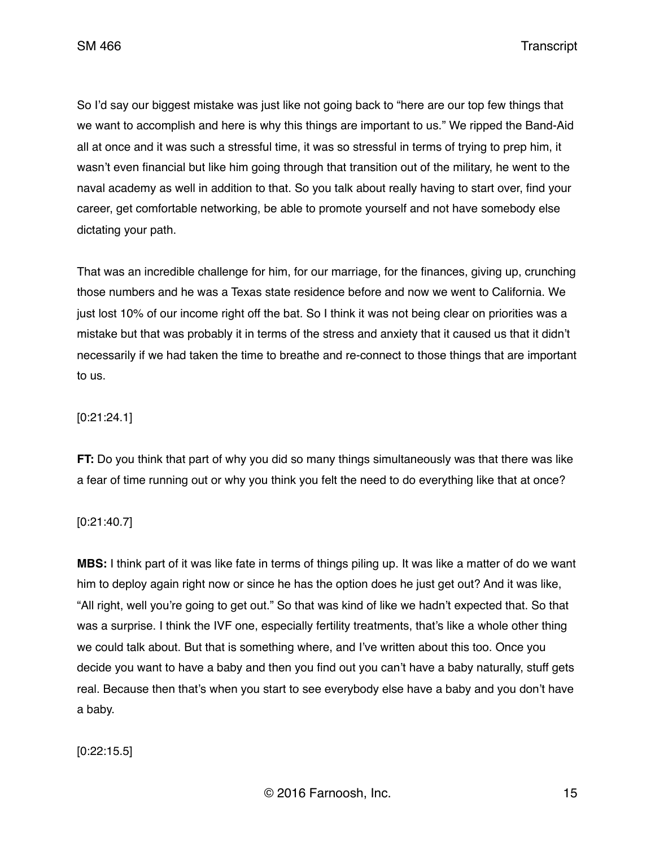So I'd say our biggest mistake was just like not going back to "here are our top few things that we want to accomplish and here is why this things are important to us." We ripped the Band-Aid all at once and it was such a stressful time, it was so stressful in terms of trying to prep him, it wasn't even financial but like him going through that transition out of the military, he went to the naval academy as well in addition to that. So you talk about really having to start over, find your career, get comfortable networking, be able to promote yourself and not have somebody else dictating your path.

That was an incredible challenge for him, for our marriage, for the finances, giving up, crunching those numbers and he was a Texas state residence before and now we went to California. We just lost 10% of our income right off the bat. So I think it was not being clear on priorities was a mistake but that was probably it in terms of the stress and anxiety that it caused us that it didn't necessarily if we had taken the time to breathe and re-connect to those things that are important to us.

# [0:21:24.1]

**FT:** Do you think that part of why you did so many things simultaneously was that there was like a fear of time running out or why you think you felt the need to do everything like that at once?

[0:21:40.7]

**MBS:** I think part of it was like fate in terms of things piling up. It was like a matter of do we want him to deploy again right now or since he has the option does he just get out? And it was like, "All right, well you're going to get out." So that was kind of like we hadn't expected that. So that was a surprise. I think the IVF one, especially fertility treatments, that's like a whole other thing we could talk about. But that is something where, and I've written about this too. Once you decide you want to have a baby and then you find out you can't have a baby naturally, stuff gets real. Because then that's when you start to see everybody else have a baby and you don't have a baby.

[0:22:15.5]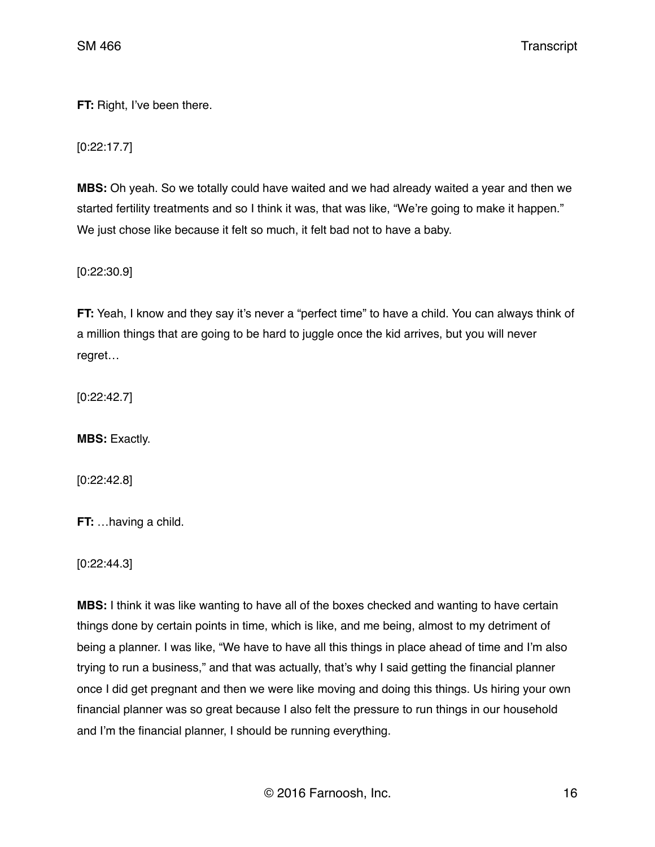**FT:** Right, I've been there.

[0:22:17.7]

**MBS:** Oh yeah. So we totally could have waited and we had already waited a year and then we started fertility treatments and so I think it was, that was like, "We're going to make it happen." We just chose like because it felt so much, it felt bad not to have a baby.

[0:22:30.9]

**FT:** Yeah, I know and they say it's never a "perfect time" to have a child. You can always think of a million things that are going to be hard to juggle once the kid arrives, but you will never regret…

[0:22:42.7]

**MBS:** Exactly.

[0:22:42.8]

**FT:** …having a child.

[0:22:44.3]

**MBS:** I think it was like wanting to have all of the boxes checked and wanting to have certain things done by certain points in time, which is like, and me being, almost to my detriment of being a planner. I was like, "We have to have all this things in place ahead of time and I'm also trying to run a business," and that was actually, that's why I said getting the financial planner once I did get pregnant and then we were like moving and doing this things. Us hiring your own financial planner was so great because I also felt the pressure to run things in our household and I'm the financial planner, I should be running everything.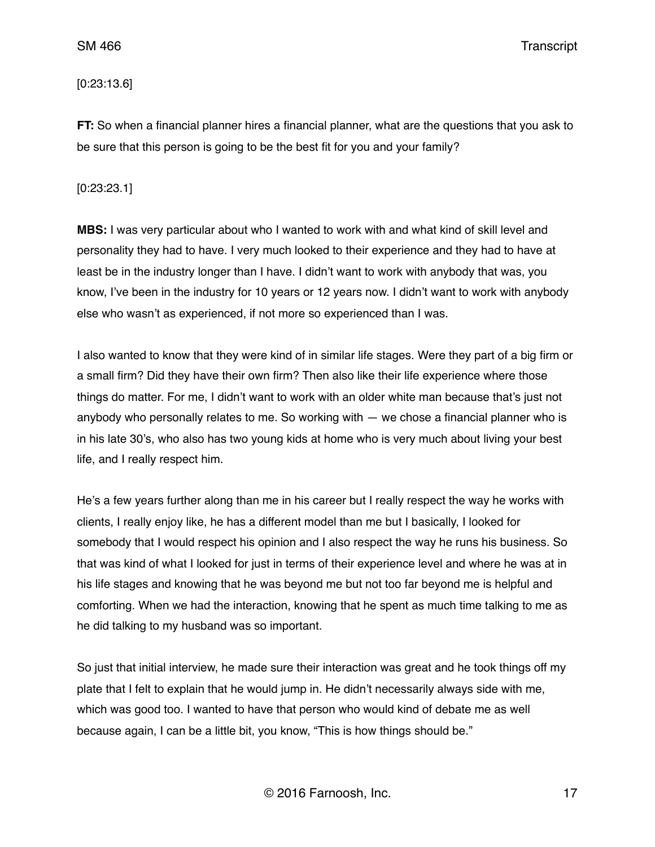## [0:23:13.6]

**FT:** So when a financial planner hires a financial planner, what are the questions that you ask to be sure that this person is going to be the best fit for you and your family?

# [0:23:23.1]

**MBS:** I was very particular about who I wanted to work with and what kind of skill level and personality they had to have. I very much looked to their experience and they had to have at least be in the industry longer than I have. I didn't want to work with anybody that was, you know, I've been in the industry for 10 years or 12 years now. I didn't want to work with anybody else who wasn't as experienced, if not more so experienced than I was.

I also wanted to know that they were kind of in similar life stages. Were they part of a big firm or a small firm? Did they have their own firm? Then also like their life experience where those things do matter. For me, I didn't want to work with an older white man because that's just not anybody who personally relates to me. So working with — we chose a financial planner who is in his late 30's, who also has two young kids at home who is very much about living your best life, and I really respect him.

He's a few years further along than me in his career but I really respect the way he works with clients, I really enjoy like, he has a different model than me but I basically, I looked for somebody that I would respect his opinion and I also respect the way he runs his business. So that was kind of what I looked for just in terms of their experience level and where he was at in his life stages and knowing that he was beyond me but not too far beyond me is helpful and comforting. When we had the interaction, knowing that he spent as much time talking to me as he did talking to my husband was so important.

So just that initial interview, he made sure their interaction was great and he took things off my plate that I felt to explain that he would jump in. He didn't necessarily always side with me, which was good too. I wanted to have that person who would kind of debate me as well because again, I can be a little bit, you know, "This is how things should be."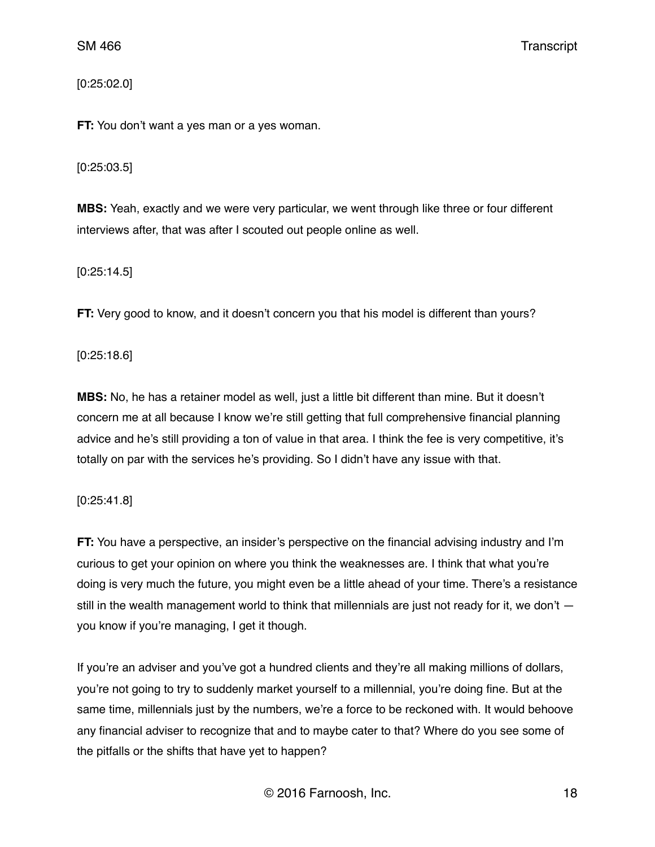[0:25:02.0]

**FT:** You don't want a yes man or a yes woman.

#### [0:25:03.5]

**MBS:** Yeah, exactly and we were very particular, we went through like three or four different interviews after, that was after I scouted out people online as well.

[0:25:14.5]

**FT:** Very good to know, and it doesn't concern you that his model is different than yours?

[0:25:18.6]

**MBS:** No, he has a retainer model as well, just a little bit different than mine. But it doesn't concern me at all because I know we're still getting that full comprehensive financial planning advice and he's still providing a ton of value in that area. I think the fee is very competitive, it's totally on par with the services he's providing. So I didn't have any issue with that.

# [0:25:41.8]

**FT:** You have a perspective, an insider's perspective on the financial advising industry and I'm curious to get your opinion on where you think the weaknesses are. I think that what you're doing is very much the future, you might even be a little ahead of your time. There's a resistance still in the wealth management world to think that millennials are just not ready for it, we don't you know if you're managing, I get it though.

If you're an adviser and you've got a hundred clients and they're all making millions of dollars, you're not going to try to suddenly market yourself to a millennial, you're doing fine. But at the same time, millennials just by the numbers, we're a force to be reckoned with. It would behoove any financial adviser to recognize that and to maybe cater to that? Where do you see some of the pitfalls or the shifts that have yet to happen?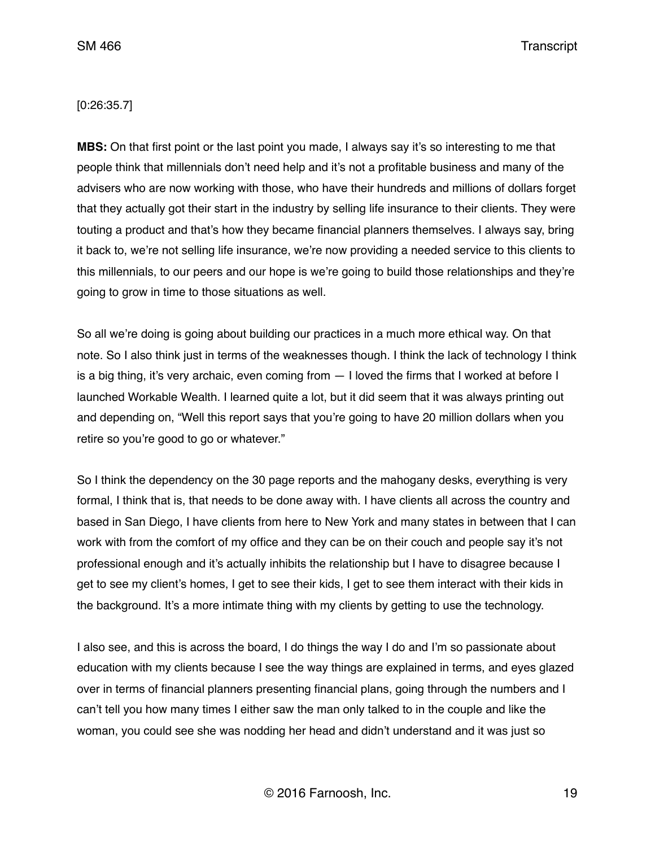## [0:26:35.7]

**MBS:** On that first point or the last point you made, I always say it's so interesting to me that people think that millennials don't need help and it's not a profitable business and many of the advisers who are now working with those, who have their hundreds and millions of dollars forget that they actually got their start in the industry by selling life insurance to their clients. They were touting a product and that's how they became financial planners themselves. I always say, bring it back to, we're not selling life insurance, we're now providing a needed service to this clients to this millennials, to our peers and our hope is we're going to build those relationships and they're going to grow in time to those situations as well.

So all we're doing is going about building our practices in a much more ethical way. On that note. So I also think just in terms of the weaknesses though. I think the lack of technology I think is a big thing, it's very archaic, even coming from — I loved the firms that I worked at before I launched Workable Wealth. I learned quite a lot, but it did seem that it was always printing out and depending on, "Well this report says that you're going to have 20 million dollars when you retire so you're good to go or whatever."

So I think the dependency on the 30 page reports and the mahogany desks, everything is very formal, I think that is, that needs to be done away with. I have clients all across the country and based in San Diego, I have clients from here to New York and many states in between that I can work with from the comfort of my office and they can be on their couch and people say it's not professional enough and it's actually inhibits the relationship but I have to disagree because I get to see my client's homes, I get to see their kids, I get to see them interact with their kids in the background. It's a more intimate thing with my clients by getting to use the technology.

I also see, and this is across the board, I do things the way I do and I'm so passionate about education with my clients because I see the way things are explained in terms, and eyes glazed over in terms of financial planners presenting financial plans, going through the numbers and I can't tell you how many times I either saw the man only talked to in the couple and like the woman, you could see she was nodding her head and didn't understand and it was just so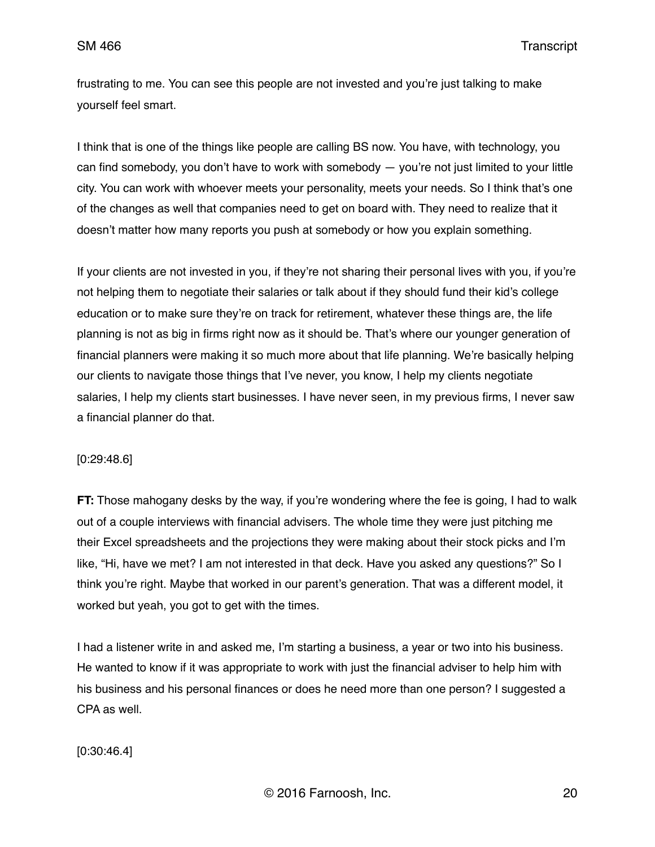frustrating to me. You can see this people are not invested and you're just talking to make yourself feel smart.

I think that is one of the things like people are calling BS now. You have, with technology, you can find somebody, you don't have to work with somebody — you're not just limited to your little city. You can work with whoever meets your personality, meets your needs. So I think that's one of the changes as well that companies need to get on board with. They need to realize that it doesn't matter how many reports you push at somebody or how you explain something.

If your clients are not invested in you, if they're not sharing their personal lives with you, if you're not helping them to negotiate their salaries or talk about if they should fund their kid's college education or to make sure they're on track for retirement, whatever these things are, the life planning is not as big in firms right now as it should be. That's where our younger generation of financial planners were making it so much more about that life planning. We're basically helping our clients to navigate those things that I've never, you know, I help my clients negotiate salaries, I help my clients start businesses. I have never seen, in my previous firms, I never saw a financial planner do that.

#### [0:29:48.6]

**FT:** Those mahogany desks by the way, if you're wondering where the fee is going, I had to walk out of a couple interviews with financial advisers. The whole time they were just pitching me their Excel spreadsheets and the projections they were making about their stock picks and I'm like, "Hi, have we met? I am not interested in that deck. Have you asked any questions?" So I think you're right. Maybe that worked in our parent's generation. That was a different model, it worked but yeah, you got to get with the times.

I had a listener write in and asked me, I'm starting a business, a year or two into his business. He wanted to know if it was appropriate to work with just the financial adviser to help him with his business and his personal finances or does he need more than one person? I suggested a CPA as well.

[0:30:46.4]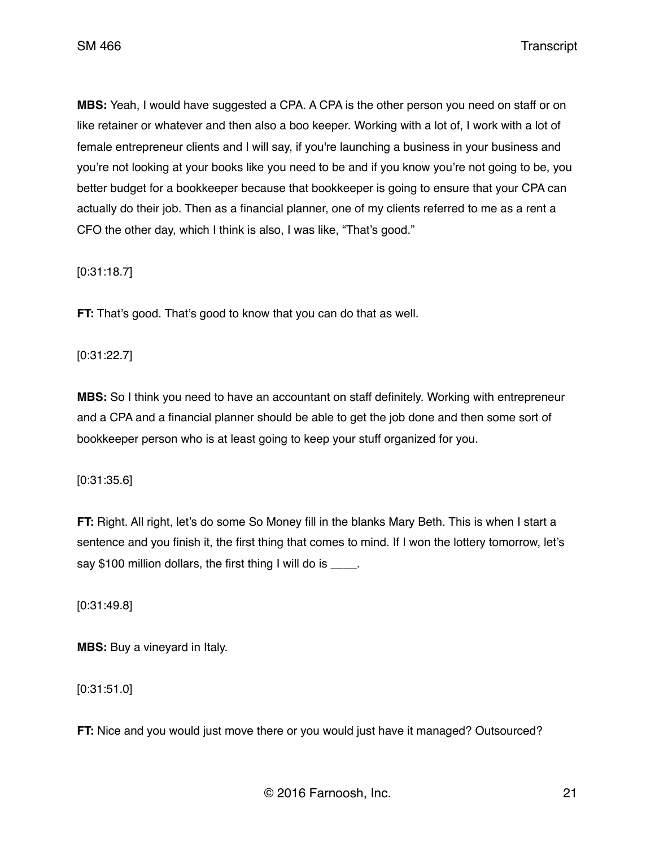**MBS:** Yeah, I would have suggested a CPA. A CPA is the other person you need on staff or on like retainer or whatever and then also a boo keeper. Working with a lot of, I work with a lot of female entrepreneur clients and I will say, if you're launching a business in your business and you're not looking at your books like you need to be and if you know you're not going to be, you better budget for a bookkeeper because that bookkeeper is going to ensure that your CPA can actually do their job. Then as a financial planner, one of my clients referred to me as a rent a CFO the other day, which I think is also, I was like, "That's good."

[0:31:18.7]

**FT:** That's good. That's good to know that you can do that as well.

[0:31:22.7]

**MBS:** So I think you need to have an accountant on staff definitely. Working with entrepreneur and a CPA and a financial planner should be able to get the job done and then some sort of bookkeeper person who is at least going to keep your stuff organized for you.

[0:31:35.6]

**FT:** Right. All right, let's do some So Money fill in the blanks Mary Beth. This is when I start a sentence and you finish it, the first thing that comes to mind. If I won the lottery tomorrow, let's say \$100 million dollars, the first thing I will do is \_\_\_\_.

[0:31:49.8]

**MBS:** Buy a vineyard in Italy.

[0:31:51.0]

**FT:** Nice and you would just move there or you would just have it managed? Outsourced?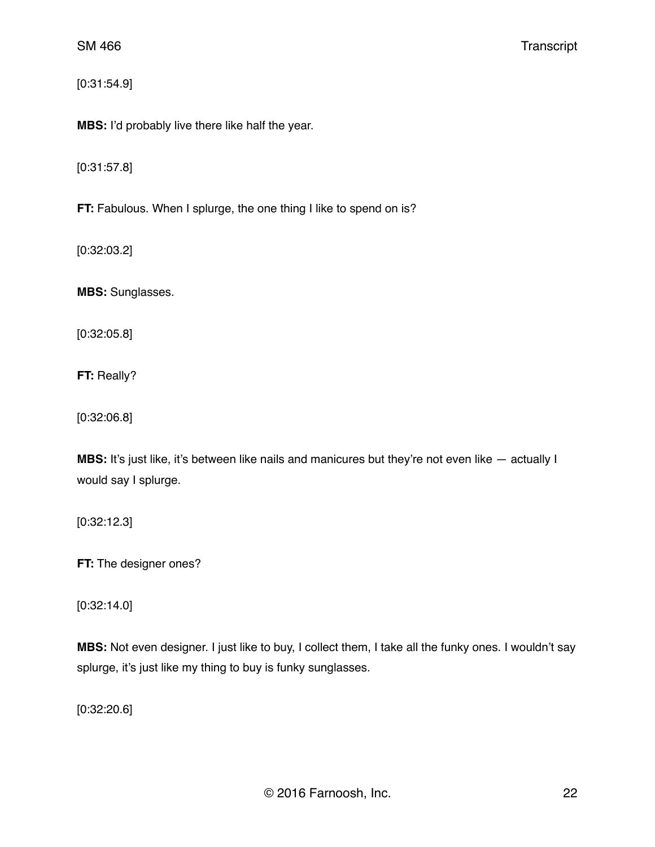[0:31:54.9]

**MBS:** I'd probably live there like half the year.

[0:31:57.8]

**FT:** Fabulous. When I splurge, the one thing I like to spend on is?

[0:32:03.2]

**MBS:** Sunglasses.

[0:32:05.8]

**FT:** Really?

[0:32:06.8]

**MBS:** It's just like, it's between like nails and manicures but they're not even like  $-$  actually I would say I splurge.

[0:32:12.3]

**FT:** The designer ones?

[0:32:14.0]

**MBS:** Not even designer. I just like to buy, I collect them, I take all the funky ones. I wouldn't say splurge, it's just like my thing to buy is funky sunglasses.

[0:32:20.6]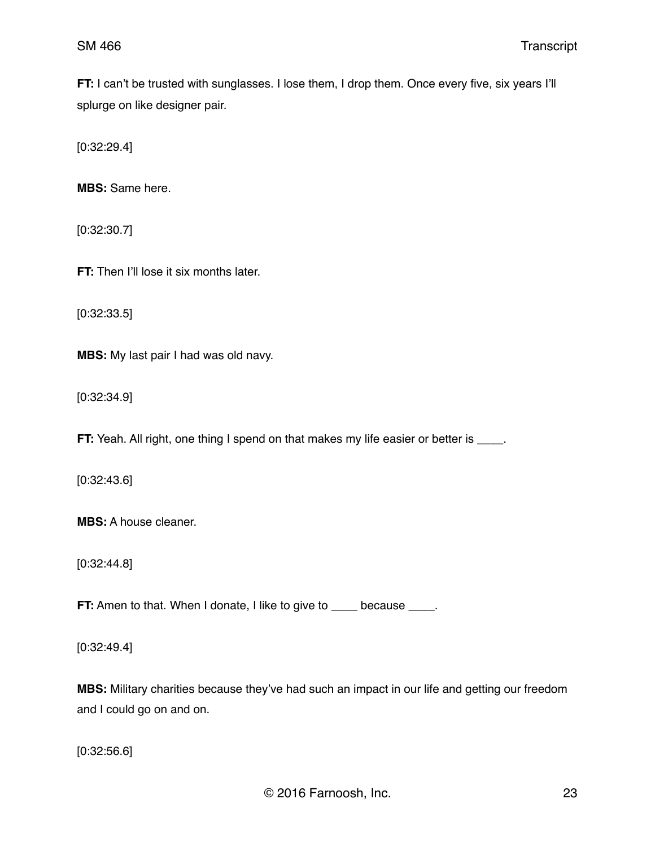**FT:** I can't be trusted with sunglasses. I lose them, I drop them. Once every five, six years I'll splurge on like designer pair.

[0:32:29.4]

**MBS:** Same here.

[0:32:30.7]

**FT:** Then I'll lose it six months later.

[0:32:33.5]

**MBS:** My last pair I had was old navy.

[0:32:34.9]

**FT:** Yeah. All right, one thing I spend on that makes my life easier or better is \_\_\_\_.

[0:32:43.6]

**MBS:** A house cleaner.

[0:32:44.8]

**FT:** Amen to that. When I donate, I like to give to \_\_\_\_ because \_\_\_\_.

[0:32:49.4]

**MBS:** Military charities because they've had such an impact in our life and getting our freedom and I could go on and on.

[0:32:56.6]